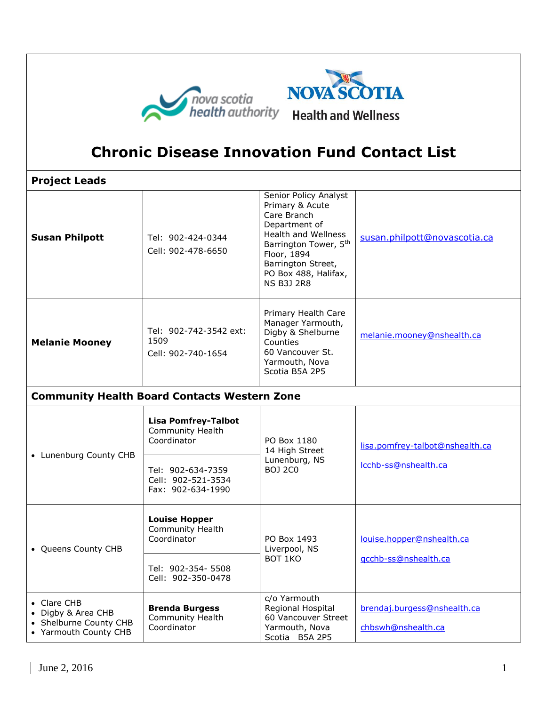

## **Chronic Disease Innovation Fund Contact List**

**Project Leads Susan Philpott** | Tel: 902-424-0344 Cell: 902-478-6650 Senior Policy Analyst Primary & Acute Care Branch Department of Health and Wellness Barrington Tower, 5<sup>th</sup> Floor, 1894 Barrington Street, PO Box 488, Halifax, NS B3J 2R8 [susan.philpott@novascotia.ca](mailto:susan.philpott@novascotia.ca) **Melanie Mooney** Tel: 902-742-3542 ext: 1509 Cell: 902-740-1654 Primary Health Care Manager Yarmouth, Digby & Shelburne Counties 60 Vancouver St. Yarmouth, Nova Scotia B5A 2P5 [melanie.mooney@nshealth.ca](mailto:melanie.mooney@nshealth.ca) **Community Health Board Contacts Western Zone** Lunenburg County CHB **Lisa Pomfrey-Talbot** Community Health Coordinator | PO Box 1180 14 High Street Lunenburg, NS BOJ 2C0 [lisa.pomfrey-talbot@nshealth.ca](mailto:lisa.pomfrey-talbot@nshealth.ca) Tel: 902-634-7359 | Luilenburg, NS<br>Tel: 902-634-7359 | BOJ 2C0 Cell: 902-521-3534 Fax: 902-634-1990 • Oueens County CHB **Louise Hopper** Community Health Coordinator PO Box 1493 Liverpool, NS BOT 1KO [louise.hopper@nshealth.ca](mailto:louise.hopper@nshealth.ca) [qcchb-ss@nshealth.ca](mailto:qcchb-ss@nshealth.ca) Tel: 902-354- 5508 Cell: 902-350-0478 Clare CHB • Digby & Area CHB • Shelburne County CHB Yarmouth County CHB **Brenda Burgess** Community Health **Coordinator** c/o Yarmouth Regional Hospital 60 Vancouver Street Yarmouth, Nova Scotia B5A 2P5 [brendaj.burgess@nshealth.ca](mailto:brendaj.burgess@nshealth.ca) [chbswh@nshealth.ca](mailto:chbswh@nshealth.ca)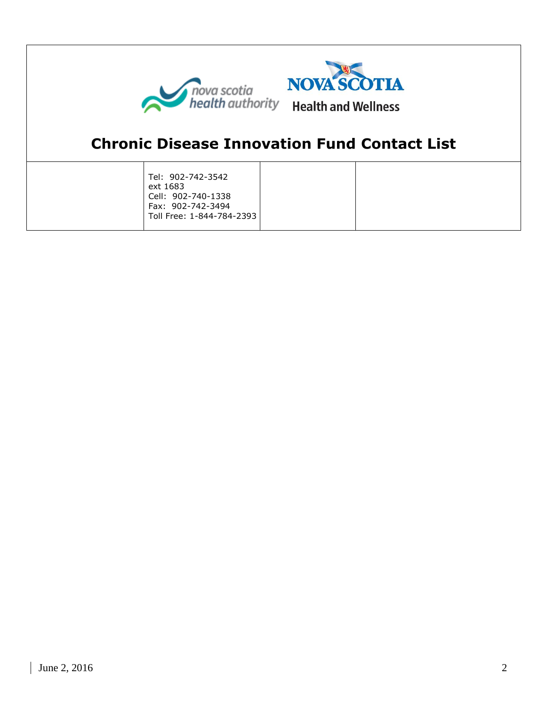



## **Chronic Disease Innovation Fund Contact List**

| Tel: 902-742-3542           |  |
|-----------------------------|--|
| ext 1683                    |  |
| Cell: 902-740-1338          |  |
| Fax: 902-742-3494           |  |
| Toll Free: 1-844-784-2393 l |  |
|                             |  |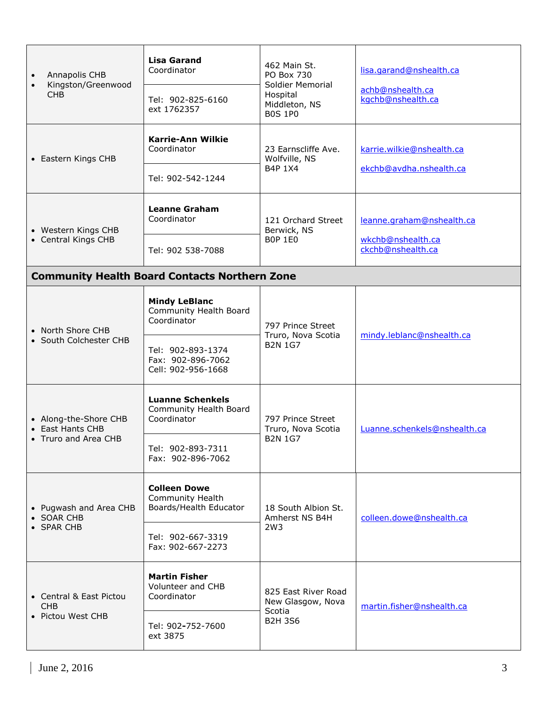| Annapolis CHB<br>$\bullet$<br>Kingston/Greenwood<br>$\bullet$<br><b>CHB</b> | <b>Lisa Garand</b><br>Coordinator                                        | 462 Main St.<br>PO Box 730<br>Soldier Memorial<br>Hospital<br>Middleton, NS<br><b>B0S 1P0</b> | lisa.garand@nshealth.ca                |  |  |  |
|-----------------------------------------------------------------------------|--------------------------------------------------------------------------|-----------------------------------------------------------------------------------------------|----------------------------------------|--|--|--|
|                                                                             | Tel: 902-825-6160<br>ext 1762357                                         |                                                                                               | achb@nshealth.ca<br>kgchb@nshealth.ca  |  |  |  |
| • Eastern Kings CHB                                                         | <b>Karrie-Ann Wilkie</b><br>Coordinator                                  | 23 Earnscliffe Ave.<br>Wolfville, NS<br>B4P 1X4                                               | karrie.wilkie@nshealth.ca              |  |  |  |
|                                                                             | Tel: 902-542-1244                                                        |                                                                                               | ekchb@avdha.nshealth.ca                |  |  |  |
| • Western Kings CHB<br>• Central Kings CHB                                  | <b>Leanne Graham</b><br>Coordinator                                      | 121 Orchard Street<br>Berwick, NS<br><b>BOP 1E0</b>                                           | leanne.graham@nshealth.ca              |  |  |  |
|                                                                             | Tel: 902 538-7088                                                        |                                                                                               | wkchb@nshealth.ca<br>ckchb@nshealth.ca |  |  |  |
| <b>Community Health Board Contacts Northern Zone</b>                        |                                                                          |                                                                                               |                                        |  |  |  |
| • North Shore CHB<br>• South Colchester CHB                                 | <b>Mindy LeBlanc</b><br>Community Health Board<br>Coordinator            | 797 Prince Street<br>Truro, Nova Scotia<br><b>B2N 1G7</b>                                     | mindy.leblanc@nshealth.ca              |  |  |  |
|                                                                             | Tel: 902-893-1374<br>Fax: 902-896-7062<br>Cell: 902-956-1668             |                                                                                               |                                        |  |  |  |
| • Along-the-Shore CHB<br>East Hants CHB<br>• Truro and Area CHB             | <b>Luanne Schenkels</b><br>Community Health Board<br>Coordinator         | 797 Prince Street<br>Truro, Nova Scotia<br><b>B2N 1G7</b>                                     | Luanne.schenkels@nshealth.ca           |  |  |  |
|                                                                             | Tel: 902-893-7311<br>Fax: 902-896-7062                                   |                                                                                               |                                        |  |  |  |
| • Pugwash and Area CHB<br>• SOAR CHB<br>• SPAR CHB                          | <b>Colleen Dowe</b><br><b>Community Health</b><br>Boards/Health Educator | 18 South Albion St.<br>Amherst NS B4H<br>2W3                                                  | colleen.dowe@nshealth.ca               |  |  |  |
|                                                                             | Tel: 902-667-3319<br>Fax: 902-667-2273                                   |                                                                                               |                                        |  |  |  |
| • Central & East Pictou<br><b>CHB</b><br>• Pictou West CHB                  | <b>Martin Fisher</b><br>Volunteer and CHB<br>Coordinator                 | 825 East River Road<br>New Glasgow, Nova<br>Scotia<br><b>B2H 3S6</b>                          | martin.fisher@nshealth.ca              |  |  |  |
|                                                                             | Tel: 902-752-7600<br>ext 3875                                            |                                                                                               |                                        |  |  |  |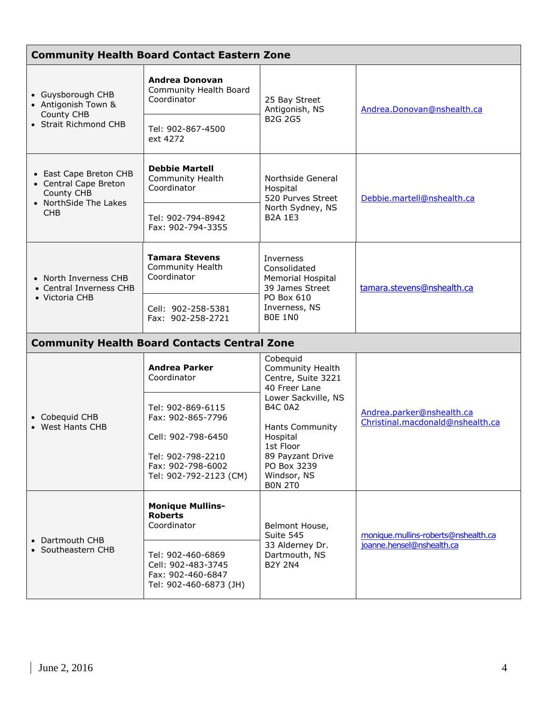| <b>Community Health Board Contact Eastern Zone</b>                                                   |                                                                                        |                                                                                                                                                                                                                                     |                                                                  |  |  |
|------------------------------------------------------------------------------------------------------|----------------------------------------------------------------------------------------|-------------------------------------------------------------------------------------------------------------------------------------------------------------------------------------------------------------------------------------|------------------------------------------------------------------|--|--|
| • Guysborough CHB<br>• Antigonish Town &<br>County CHB<br>• Strait Richmond CHB                      | <b>Andrea Donovan</b><br>Community Health Board<br>Coordinator                         | 25 Bay Street<br>Antigonish, NS<br><b>B2G 2G5</b>                                                                                                                                                                                   | Andrea.Donovan@nshealth.ca                                       |  |  |
|                                                                                                      | Tel: 902-867-4500<br>ext 4272                                                          |                                                                                                                                                                                                                                     |                                                                  |  |  |
| • East Cape Breton CHB<br>• Central Cape Breton<br>County CHB<br>• NorthSide The Lakes<br><b>CHB</b> | <b>Debbie Martell</b><br><b>Community Health</b><br>Coordinator                        | Northside General<br>Hospital<br>520 Purves Street<br>North Sydney, NS<br><b>B2A 1E3</b>                                                                                                                                            | Debbie.martell@nshealth.ca                                       |  |  |
|                                                                                                      | Tel: 902-794-8942<br>Fax: 902-794-3355                                                 |                                                                                                                                                                                                                                     |                                                                  |  |  |
| • North Inverness CHB<br>• Central Inverness CHB<br>• Victoria CHB                                   | <b>Tamara Stevens</b><br><b>Community Health</b><br>Coordinator                        | Inverness<br>Consolidated<br><b>Memorial Hospital</b><br>39 James Street<br>PO Box 610<br>Inverness, NS<br><b>BOE 1NO</b>                                                                                                           | tamara.stevens@nshealth.ca                                       |  |  |
|                                                                                                      | Cell: 902-258-5381<br>Fax: 902-258-2721                                                |                                                                                                                                                                                                                                     |                                                                  |  |  |
|                                                                                                      | <b>Community Health Board Contacts Central Zone</b>                                    |                                                                                                                                                                                                                                     |                                                                  |  |  |
| • Cobequid CHB<br>• West Hants CHB                                                                   | <b>Andrea Parker</b><br>Coordinator                                                    | Cobequid<br>Community Health<br>Centre, Suite 3221<br>40 Freer Lane<br>Lower Sackville, NS<br><b>B4C 0A2</b><br><b>Hants Community</b><br>Hospital<br>1st Floor<br>89 Payzant Drive<br>PO Box 3239<br>Windsor, NS<br><b>BON 2T0</b> | Andrea.parker@nshealth.ca<br>Christinal.macdonald@nshealth.ca    |  |  |
|                                                                                                      | Tel: 902-869-6115<br>Fax: 902-865-7796                                                 |                                                                                                                                                                                                                                     |                                                                  |  |  |
|                                                                                                      | Cell: 902-798-6450                                                                     |                                                                                                                                                                                                                                     |                                                                  |  |  |
|                                                                                                      | Tel: 902-798-2210<br>Fax: 902-798-6002<br>Tel: 902-792-2123 (CM)                       |                                                                                                                                                                                                                                     |                                                                  |  |  |
| • Dartmouth CHB<br>• Southeastern CHB                                                                | <b>Monique Mullins-</b><br><b>Roberts</b><br>Coordinator                               | Belmont House,<br>Suite 545<br>33 Alderney Dr.<br>Dartmouth, NS<br><b>B2Y 2N4</b>                                                                                                                                                   | monique.mullins-roberts@nshealth.ca<br>joanne.hensel@nshealth.ca |  |  |
|                                                                                                      | Tel: 902-460-6869<br>Cell: 902-483-3745<br>Fax: 902-460-6847<br>Tel: 902-460-6873 (JH) |                                                                                                                                                                                                                                     |                                                                  |  |  |